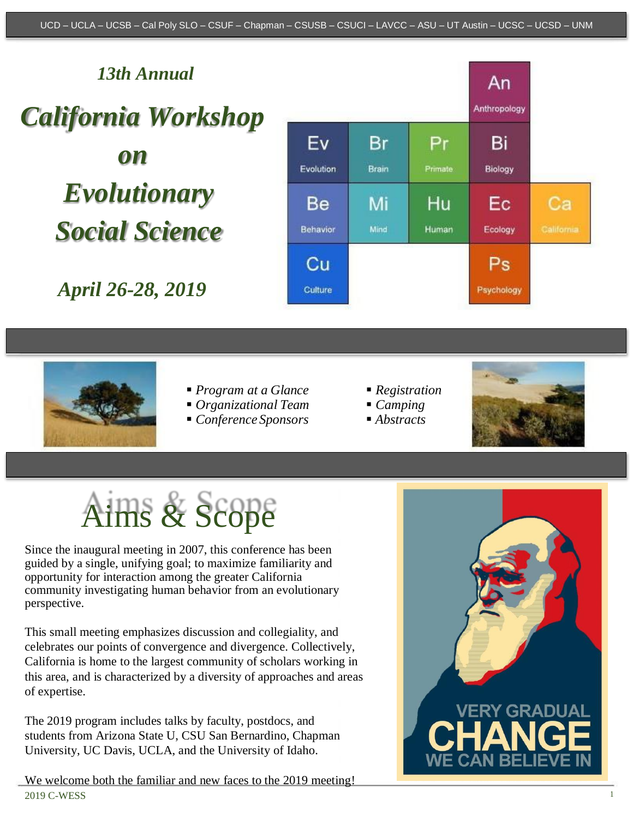#### *13th Annual* An Anthropology *California Workshop* Ev Br Pr Bi *on*  Evolution **Brain** Primate Biology *Evolutionary*  Hu Be Mi Еc Ca *Social Science* Behavior Mind Human Ecology California  $Ps$ Cп *April 26-28, 2019* Culture Psychology



- *Program at a Glance*
- *Organizational Team*
- *Conference Sponsors*
- *Registration*
- *Camping*
- *Abstracts*



# Aims & Scope

Since the inaugural meeting in 2007, this conference has been guided by a single, unifying goal; to maximize familiarity and opportunity for interaction among the greater California community investigating human behavior from an evolutionary perspective.

This small meeting emphasizes discussion and collegiality, and celebrates our points of convergence and divergence. Collectively, California is home to the largest community of scholars working in this area, and is characterized by a diversity of approaches and areas of expertise.

The 2019 program includes talks by faculty, postdocs, and students from Arizona State U, CSU San Bernardino, Chapman University, UC Davis, UCLA, and the University of Idaho.



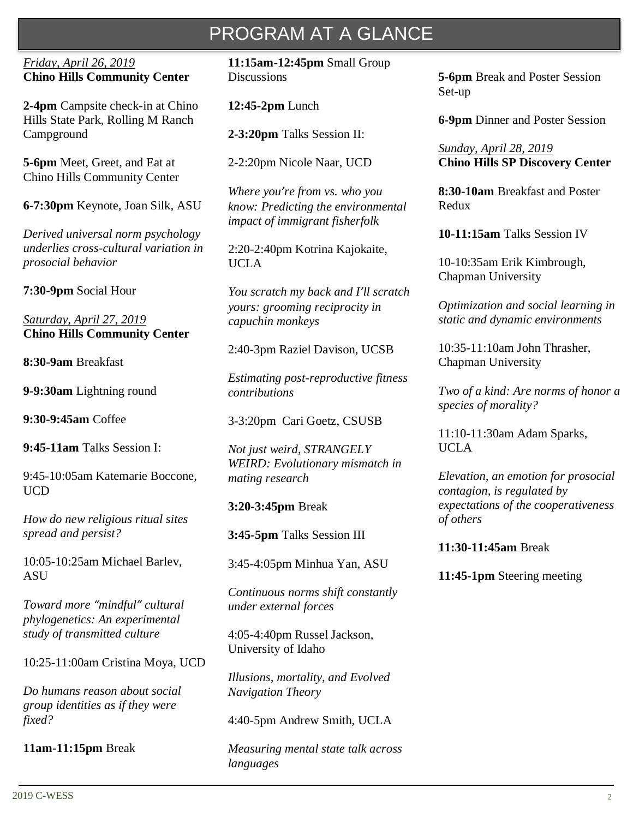# PROGRAM AT A GLANCE

#### *Friday, April 26, 2019* **Chino Hills Community Center**

**2-4pm** Campsite check-in at Chino Hills State Park, Rolling M Ranch Campground

**5-6pm** Meet, Greet, and Eat at Chino Hills Community Center

**6-7:30pm** Keynote, Joan Silk, ASU

*Derived universal norm psychology underlies cross-cultural variation in prosocial behavior*

**7:30-9pm** Social Hour

*Saturday, April 27, 2019* **Chino Hills Community Center**

**8:30-9am** Breakfast

**9-9:30am** Lightning round

**9:30-9:45am** Coffee

**9:45-11am** Talks Session I:

9:45-10:05am Katemarie Boccone, UCD

*How do new religious ritual sites spread and persist?*

10:05-10:25am Michael Barlev, **ASU** 

*Toward more "mindful" cultural phylogenetics: An experimental study of transmitted culture*

10:25-11:00am Cristina Moya, UCD

*Do humans reason about social group identities as if they were fixed?*

**11am-11:15pm** Break

**11:15am-12:45pm** Small Group **Discussions** 

**12:45-2pm** Lunch

**2-3:20pm** Talks Session II:

2-2:20pm Nicole Naar, UCD

*Where you're from vs. who you know: Predicting the environmental impact of immigrant fisherfolk*

2:20-2:40pm Kotrina Kajokaite, UCLA

*You scratch my back and I'll scratch yours: grooming reciprocity in capuchin monkeys*

2:40-3pm Raziel Davison, UCSB

*Estimating post-reproductive fitness contributions*

3-3:20pm Cari Goetz, CSUSB

*Not just weird, STRANGELY WEIRD: Evolutionary mismatch in mating research*

**3:20-3:45pm** Break

**3:45-5pm** Talks Session III

3:45-4:05pm Minhua Yan, ASU

*Continuous norms shift constantly under external forces*

4:05-4:40pm Russel Jackson, University of Idaho

*Illusions, mortality, and Evolved Navigation Theory*

4:40-5pm Andrew Smith, UCLA

*Measuring mental state talk across languages*

**5-6pm** Break and Poster Session Set-up

**6-9pm** Dinner and Poster Session

*Sunday, April 28, 2019* **Chino Hills SP Discovery Center**

**8:30-10am** Breakfast and Poster Redux

**10-11:15am** Talks Session IV

10-10:35am Erik Kimbrough, Chapman University

*Optimization and social learning in static and dynamic environments*

10:35-11:10am John Thrasher, Chapman University

*Two of a kind: Are norms of honor a species of morality?*

11:10-11:30am Adam Sparks, UCLA

*Elevation, an emotion for prosocial contagion, is regulated by expectations of the cooperativeness of others*

#### **11:30-11:45am** Break

**11:45-1pm** Steering meeting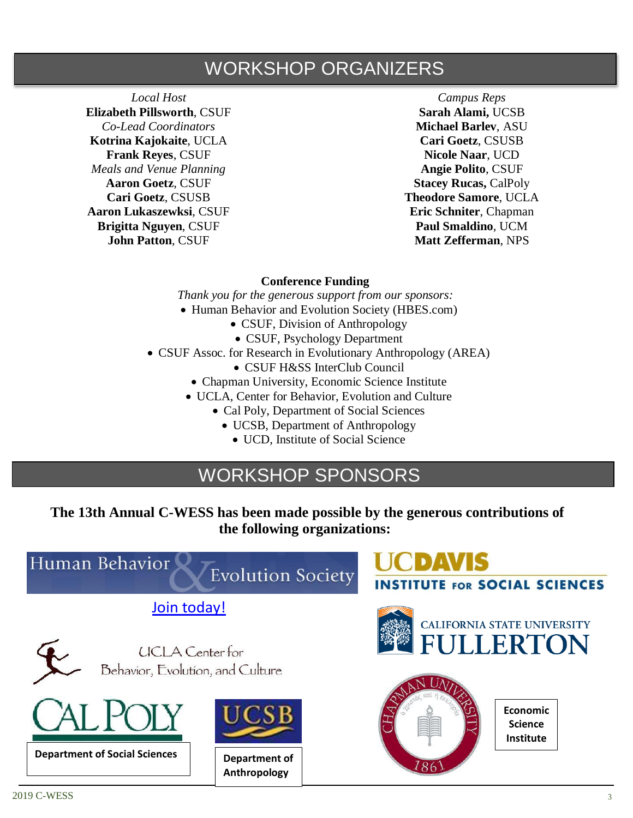## WORKSHOP ORGANIZERS

*Local Host* **Elizabeth Pillsworth**, CSUF *Co-Lead Coordinators* **Kotrina Kajokaite**, UCLA **Frank Reyes**, CSUF *Meals and Venue Planning* **Aaron Goetz**, CSUF **Cari Goetz**, CSUSB **Aaron Lukaszewksi**, CSUF **Brigitta Nguyen**, CSUF **John Patton**, CSUF

*Campus Reps* **Sarah Alami,** UCSB **Michael Barlev**, ASU **Cari Goetz**, CSUSB **Nicole Naar**, UCD **Angie Polito**, CSUF **Stacey Rucas, CalPoly Theodore Samore**, UCLA **Eric Schniter**, Chapman **Paul Smaldino**, UCM **Matt Zefferman**, NPS

#### **Conference Funding**

*Thank you for the generous support from our sponsors:* • Human Behavior and Evolution Society (HBES.com)

- CSUF, Division of Anthropology
	- CSUF, Psychology Department
- CSUF Assoc. for Research in Evolutionary Anthropology (AREA)
	- CSUF H&SS InterClub Council
	- Chapman University, Economic Science Institute
	- UCLA, Center for Behavior, Evolution and Culture
		- Cal Poly, Department of Social Sciences
			- UCSB, Department of Anthropology
				- UCD, Institute of Social Science

## WORKSHOP SPONSORS

**The 13th Annual C-WESS has been made possible by the generous contributions of the following organizations:**

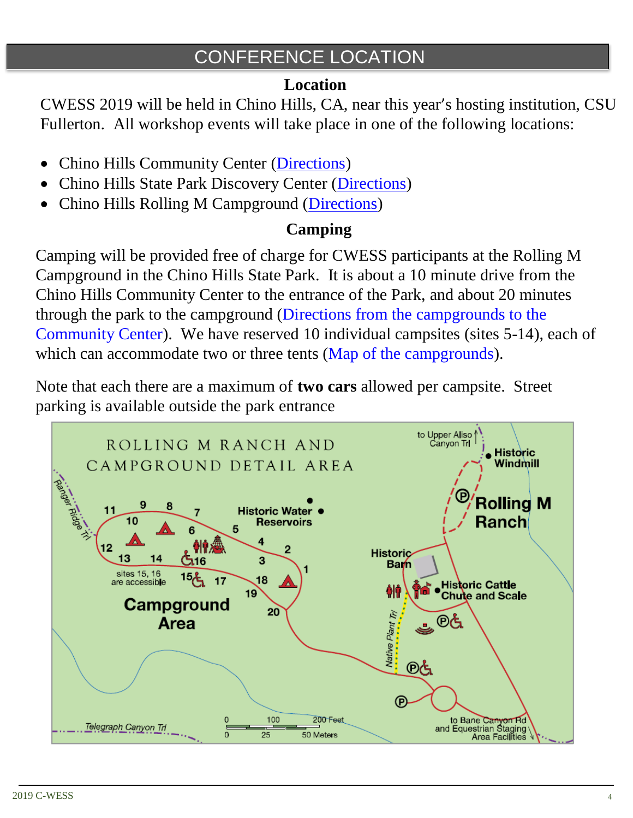## CONFERENCE LOCATION

## **Location**

CWESS 2019 will be held in Chino Hills, CA, near this year's hosting institution, CSU Fullerton. All workshop events will take place in one of the following locations:

- Chino Hills Community Center [\(Directions\)](https://goo.gl/maps/GJne9WXTFQD2)
- Chino Hills State Park Discovery Center [\(Directions\)](https://www.google.com/maps/place/Chino+Hills+State+Park+Discovery+Center/@33.9201798,-117.8292489,17z/data=!3m1!4b1!4m5!3m4!1s0x80dcd381393c25df:0x5f2f475a2c4a239b!8m2!3d33.9201798!4d-117.8270602)
- Chino Hills Rolling M Campground [\(Directions\)](https://www.google.com/maps/place/Rolling+M+Ranch+Campground/@33.9232988,-117.7097221,17z/data=!3m1!4b1!4m5!3m4!1s0x80dccdc4af667e13:0xd61dc77b640363d1!8m2!3d33.9232988!4d-117.7075334)

## **Camping**

Camping will be provided free of charge for CWESS participants at the Rolling M Campground in the Chino Hills State Park. It is about a 10 minute drive from the Chino Hills Community Center to the entrance of the Park, and about 20 minutes through the park to the campground [\(Directions from the campgrounds to the](https://www.google.com/maps/dir/Rolling+M+Ranch+Campground,+Chino+Hills,+CA/Chino+Hills+Community+Center,+14250+Peyton+Dr,+Chino+Hills,+CA+91709/@33.9604306,-117.7459794,13z/data=!3m1!4b1!4m14!4m13!1m5!1m1!1s0x80dccdc4af667e13:0xd61dc77b640363d1!2m2!1d-117.7075334!2d33.9232988!1m5!1m1!1s0x80c332aba3dba64d:0xb5eb4c532ee06dca!2m2!1d-117.7336178!2d33.9925941!3e0)  [Community Center\)](https://www.google.com/maps/dir/Rolling+M+Ranch+Campground,+Chino+Hills,+CA/Chino+Hills+Community+Center,+14250+Peyton+Dr,+Chino+Hills,+CA+91709/@33.9604306,-117.7459794,13z/data=!3m1!4b1!4m14!4m13!1m5!1m1!1s0x80dccdc4af667e13:0xd61dc77b640363d1!2m2!1d-117.7075334!2d33.9232988!1m5!1m1!1s0x80c332aba3dba64d:0xb5eb4c532ee06dca!2m2!1d-117.7336178!2d33.9925941!3e0). We have reserved 10 individual campsites (sites 5-14), each of which can accommodate two or three tents [\(Map of the campgrounds\)](https://www.dropbox.com/s/25473k0gasprecv/Chino%20Hills%20State%20Park%20Map.pdf?dl=0).

Note that each there are a maximum of **two cars** allowed per campsite. Street parking is available outside the park entrance

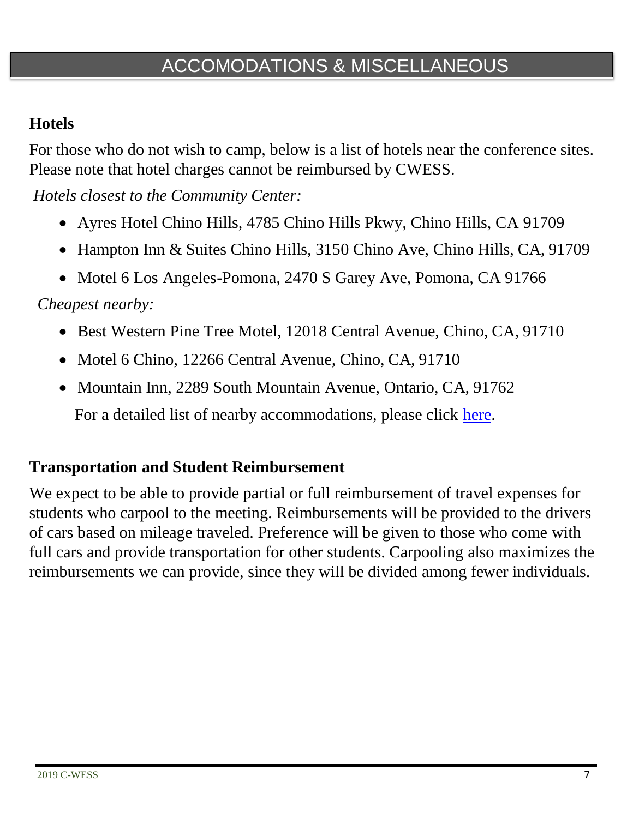## ACCOMODATIONS & MISCELLANEOUS

## **Hotels**

For those who do not wish to camp, below is a list of hotels near the conference sites. Please note that hotel charges cannot be reimbursed by CWESS.

*Hotels closest to the Community Center:*

- Ayres Hotel Chino Hills, 4785 Chino Hills Pkwy, Chino Hills, CA 91709
- Hampton Inn & Suites Chino Hills, 3150 Chino Ave, Chino Hills, CA, 91709
- Motel 6 Los Angeles-Pomona, 2470 S Garey Ave, Pomona, CA 91766

*Cheapest nearby:*

- Best Western Pine Tree Motel, 12018 Central Avenue, Chino, CA, 91710
- Motel 6 Chino, 12266 Central Avenue, Chino, CA, 91710
- Mountain Inn, 2289 South Mountain Avenue, Ontario, CA, 91762

For a detailed list of nearby accommodations, please click [here.](https://www.dropbox.com/s/68vtr1ph3e1xzgh/CWESS%202019%20Hotels%20and%20Alternate%20Accomodations.xlsx?dl=0)

### **Transportation and Student Reimbursement**

We expect to be able to provide partial or full reimbursement of travel expenses for students who carpool to the meeting. Reimbursements will be provided to the drivers of cars based on mileage traveled. Preference will be given to those who come with full cars and provide transportation for other students. Carpooling also maximizes the reimbursements we can provide, since they will be divided among fewer individuals.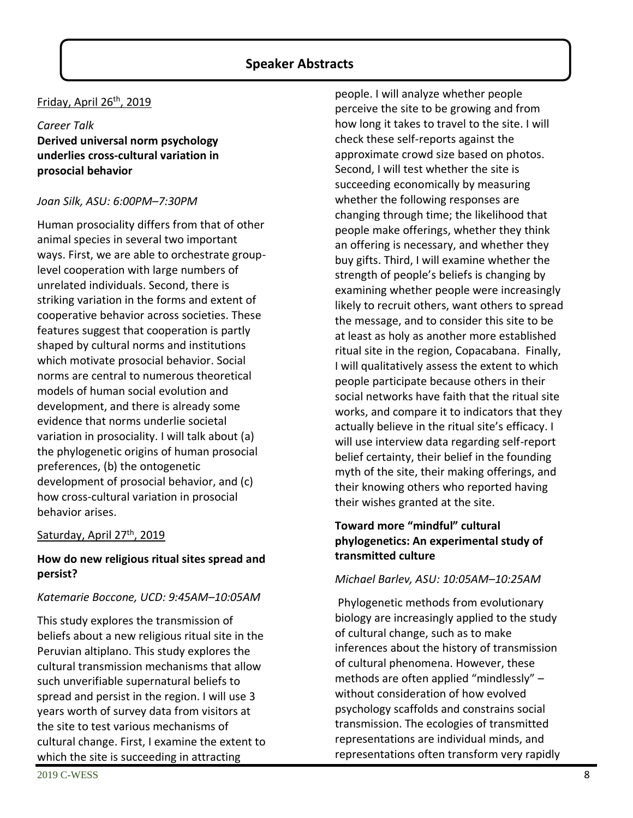#### **Speaker Abstracts**

#### Friday, April 26th, 2019

#### *Career Talk* **Derived universal norm psychology underlies cross-cultural variation in prosocial behavior**

#### *Joan Silk, ASU: 6:00PM–7:30PM*

Human prosociality differs from that of other animal species in several two important ways. First, we are able to orchestrate grouplevel cooperation with large numbers of unrelated individuals. Second, there is striking variation in the forms and extent of cooperative behavior across societies. These features suggest that cooperation is partly shaped by cultural norms and institutions which motivate prosocial behavior. Social norms are central to numerous theoretical models of human social evolution and development, and there is already some evidence that norms underlie societal variation in prosociality. I will talk about (a) the phylogenetic origins of human prosocial preferences, (b) the ontogenetic development of prosocial behavior, and (c) how cross-cultural variation in prosocial behavior arises.

#### Saturday, April 27<sup>th</sup>, 2019

#### **How do new religious ritual sites spread and persist?**

#### *Katemarie Boccone, UCD: 9:45AM–10:05AM*

This study explores the transmission of beliefs about a new religious ritual site in the Peruvian altiplano. This study explores the cultural transmission mechanisms that allow such unverifiable supernatural beliefs to spread and persist in the region. I will use 3 years worth of survey data from visitors at the site to test various mechanisms of cultural change. First, I examine the extent to which the site is succeeding in attracting

people. I will analyze whether people perceive the site to be growing and from how long it takes to travel to the site. I will check these self-reports against the approximate crowd size based on photos. Second, I will test whether the site is succeeding economically by measuring whether the following responses are changing through time; the likelihood that people make offerings, whether they think an offering is necessary, and whether they buy gifts. Third, I will examine whether the strength of people's beliefs is changing by examining whether people were increasingly likely to recruit others, want others to spread the message, and to consider this site to be at least as holy as another more established ritual site in the region, Copacabana. Finally, I will qualitatively assess the extent to which people participate because others in their social networks have faith that the ritual site works, and compare it to indicators that they actually believe in the ritual site's efficacy. I will use interview data regarding self-report belief certainty, their belief in the founding myth of the site, their making offerings, and their knowing others who reported having their wishes granted at the site.

#### **Toward more "mindful" cultural phylogenetics: An experimental study of transmitted culture**

#### *Michael Barlev, ASU: 10:05AM–10:25AM*

Phylogenetic methods from evolutionary biology are increasingly applied to the study of cultural change, such as to make inferences about the history of transmission of cultural phenomena. However, these methods are often applied "mindlessly" – without consideration of how evolved psychology scaffolds and constrains social transmission. The ecologies of transmitted representations are individual minds, and representations often transform very rapidly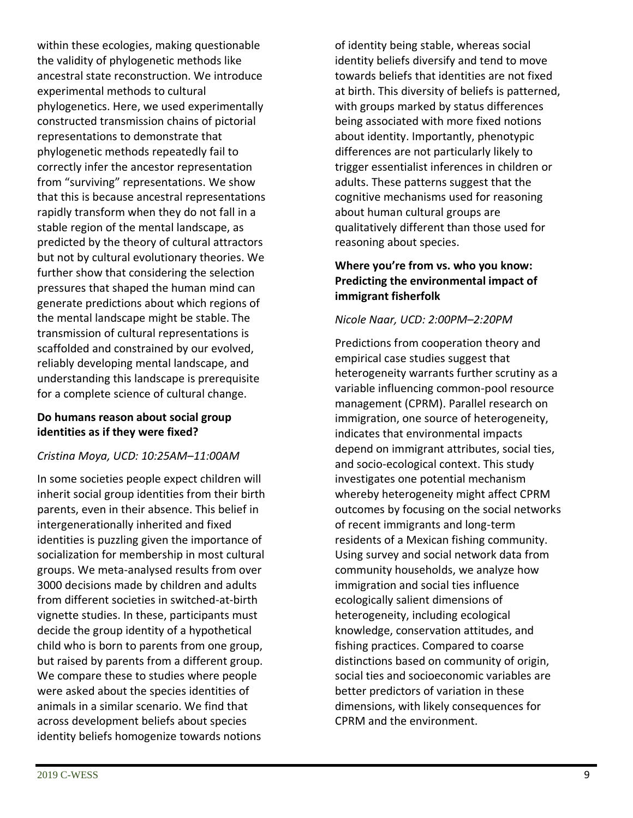within these ecologies, making questionable the validity of phylogenetic methods like ancestral state reconstruction. We introduce experimental methods to cultural phylogenetics. Here, we used experimentally constructed transmission chains of pictorial representations to demonstrate that phylogenetic methods repeatedly fail to correctly infer the ancestor representation from "surviving" representations. We show that this is because ancestral representations rapidly transform when they do not fall in a stable region of the mental landscape, as predicted by the theory of cultural attractors but not by cultural evolutionary theories. We further show that considering the selection pressures that shaped the human mind can generate predictions about which regions of the mental landscape might be stable. The transmission of cultural representations is scaffolded and constrained by our evolved, reliably developing mental landscape, and understanding this landscape is prerequisite for a complete science of cultural change.

#### **Do humans reason about social group identities as if they were fixed?**

#### *Cristina Moya, UCD: 10:25AM–11:00AM*

In some societies people expect children will inherit social group identities from their birth parents, even in their absence. This belief in intergenerationally inherited and fixed identities is puzzling given the importance of socialization for membership in most cultural groups. We meta-analysed results from over 3000 decisions made by children and adults from different societies in switched-at-birth vignette studies. In these, participants must decide the group identity of a hypothetical child who is born to parents from one group, but raised by parents from a different group. We compare these to studies where people were asked about the species identities of animals in a similar scenario. We find that across development beliefs about species identity beliefs homogenize towards notions

of identity being stable, whereas social identity beliefs diversify and tend to move towards beliefs that identities are not fixed at birth. This diversity of beliefs is patterned, with groups marked by status differences being associated with more fixed notions about identity. Importantly, phenotypic differences are not particularly likely to trigger essentialist inferences in children or adults. These patterns suggest that the cognitive mechanisms used for reasoning about human cultural groups are qualitatively different than those used for reasoning about species.

#### **Where you're from vs. who you know: Predicting the environmental impact of immigrant fisherfolk**

#### *Nicole Naar, UCD: 2:00PM–2:20PM*

Predictions from cooperation theory and empirical case studies suggest that heterogeneity warrants further scrutiny as a variable influencing common-pool resource management (CPRM). Parallel research on immigration, one source of heterogeneity, indicates that environmental impacts depend on immigrant attributes, social ties, and socio-ecological context. This study investigates one potential mechanism whereby heterogeneity might affect CPRM outcomes by focusing on the social networks of recent immigrants and long-term residents of a Mexican fishing community. Using survey and social network data from community households, we analyze how immigration and social ties influence ecologically salient dimensions of heterogeneity, including ecological knowledge, conservation attitudes, and fishing practices. Compared to coarse distinctions based on community of origin, social ties and socioeconomic variables are better predictors of variation in these dimensions, with likely consequences for CPRM and the environment.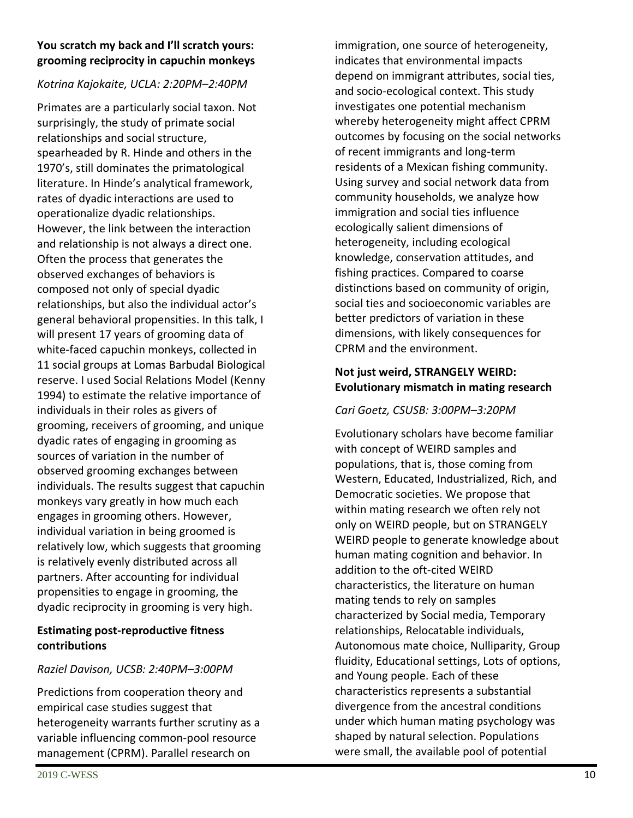#### **You scratch my back and I'll scratch yours: grooming reciprocity in capuchin monkeys**

#### *Kotrina Kajokaite, UCLA: 2:20PM–2:40PM*

Primates are a particularly social taxon. Not surprisingly, the study of primate social relationships and social structure, spearheaded by R. Hinde and others in the 1970's, still dominates the primatological literature. In Hinde's analytical framework, rates of dyadic interactions are used to operationalize dyadic relationships. However, the link between the interaction and relationship is not always a direct one. Often the process that generates the observed exchanges of behaviors is composed not only of special dyadic relationships, but also the individual actor's general behavioral propensities. In this talk, I will present 17 years of grooming data of white-faced capuchin monkeys, collected in 11 social groups at Lomas Barbudal Biological reserve. I used Social Relations Model (Kenny 1994) to estimate the relative importance of individuals in their roles as givers of grooming, receivers of grooming, and unique dyadic rates of engaging in grooming as sources of variation in the number of observed grooming exchanges between individuals. The results suggest that capuchin monkeys vary greatly in how much each engages in grooming others. However, individual variation in being groomed is relatively low, which suggests that grooming is relatively evenly distributed across all partners. After accounting for individual propensities to engage in grooming, the dyadic reciprocity in grooming is very high.

#### **Estimating post-reproductive fitness contributions**

#### *Raziel Davison, UCSB: 2:40PM–3:00PM*

Predictions from cooperation theory and empirical case studies suggest that heterogeneity warrants further scrutiny as a variable influencing common-pool resource management (CPRM). Parallel research on

immigration, one source of heterogeneity, indicates that environmental impacts depend on immigrant attributes, social ties, and socio-ecological context. This study investigates one potential mechanism whereby heterogeneity might affect CPRM outcomes by focusing on the social networks of recent immigrants and long-term residents of a Mexican fishing community. Using survey and social network data from community households, we analyze how immigration and social ties influence ecologically salient dimensions of heterogeneity, including ecological knowledge, conservation attitudes, and fishing practices. Compared to coarse distinctions based on community of origin, social ties and socioeconomic variables are better predictors of variation in these dimensions, with likely consequences for CPRM and the environment.

#### **Not just weird, STRANGELY WEIRD: Evolutionary mismatch in mating research**

#### *Cari Goetz, CSUSB: 3:00PM–3:20PM*

Evolutionary scholars have become familiar with concept of WEIRD samples and populations, that is, those coming from Western, Educated, Industrialized, Rich, and Democratic societies. We propose that within mating research we often rely not only on WEIRD people, but on STRANGELY WEIRD people to generate knowledge about human mating cognition and behavior. In addition to the oft-cited WEIRD characteristics, the literature on human mating tends to rely on samples characterized by Social media, Temporary relationships, Relocatable individuals, Autonomous mate choice, Nulliparity, Group fluidity, Educational settings, Lots of options, and Young people. Each of these characteristics represents a substantial divergence from the ancestral conditions under which human mating psychology was shaped by natural selection. Populations were small, the available pool of potential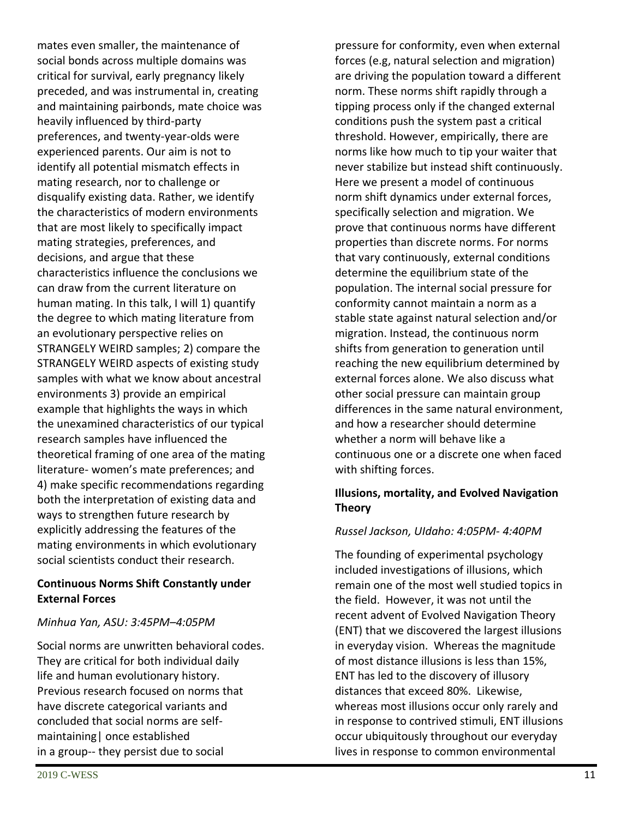mates even smaller, the maintenance of social bonds across multiple domains was critical for survival, early pregnancy likely preceded, and was instrumental in, creating and maintaining pairbonds, mate choice was heavily influenced by third-party preferences, and twenty-year-olds were experienced parents. Our aim is not to identify all potential mismatch effects in mating research, nor to challenge or disqualify existing data. Rather, we identify the characteristics of modern environments that are most likely to specifically impact mating strategies, preferences, and decisions, and argue that these characteristics influence the conclusions we can draw from the current literature on human mating. In this talk, I will 1) quantify the degree to which mating literature from an evolutionary perspective relies on STRANGELY WEIRD samples; 2) compare the STRANGELY WEIRD aspects of existing study samples with what we know about ancestral environments 3) provide an empirical example that highlights the ways in which the unexamined characteristics of our typical research samples have influenced the theoretical framing of one area of the mating literature- women's mate preferences; and 4) make specific recommendations regarding both the interpretation of existing data and ways to strengthen future research by explicitly addressing the features of the mating environments in which evolutionary social scientists conduct their research.

#### **Continuous Norms Shift Constantly under External Forces**

#### *Minhua Yan, ASU: 3:45PM–4:05PM*

Social norms are unwritten behavioral codes. They are critical for both individual daily life and human evolutionary history. Previous research focused on norms that have discrete categorical variants and concluded that social norms are selfmaintaining| once established in a group-- they persist due to social

pressure for conformity, even when external forces (e.g, natural selection and migration) are driving the population toward a different norm. These norms shift rapidly through a tipping process only if the changed external conditions push the system past a critical threshold. However, empirically, there are norms like how much to tip your waiter that never stabilize but instead shift continuously. Here we present a model of continuous norm shift dynamics under external forces, specifically selection and migration. We prove that continuous norms have different properties than discrete norms. For norms that vary continuously, external conditions determine the equilibrium state of the population. The internal social pressure for conformity cannot maintain a norm as a stable state against natural selection and/or migration. Instead, the continuous norm shifts from generation to generation until reaching the new equilibrium determined by external forces alone. We also discuss what other social pressure can maintain group differences in the same natural environment, and how a researcher should determine whether a norm will behave like a continuous one or a discrete one when faced with shifting forces.

#### **Illusions, mortality, and Evolved Navigation Theory**

#### *Russel Jackson, UIdaho: 4:05PM- 4:40PM*

The founding of experimental psychology included investigations of illusions, which remain one of the most well studied topics in the field. However, it was not until the recent advent of Evolved Navigation Theory (ENT) that we discovered the largest illusions in everyday vision. Whereas the magnitude of most distance illusions is less than 15%, ENT has led to the discovery of illusory distances that exceed 80%. Likewise, whereas most illusions occur only rarely and in response to contrived stimuli, ENT illusions occur ubiquitously throughout our everyday lives in response to common environmental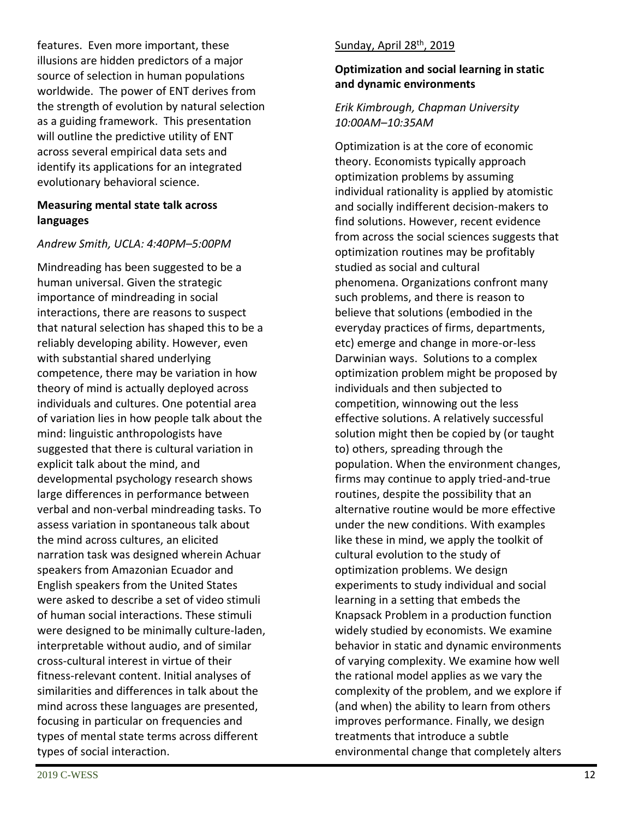features. Even more important, these illusions are hidden predictors of a major source of selection in human populations worldwide. The power of ENT derives from the strength of evolution by natural selection as a guiding framework. This presentation will outline the predictive utility of ENT across several empirical data sets and identify its applications for an integrated evolutionary behavioral science.

#### **Measuring mental state talk across languages**

#### *Andrew Smith, UCLA: 4:40PM–5:00PM*

Mindreading has been suggested to be a human universal. Given the strategic importance of mindreading in social interactions, there are reasons to suspect that natural selection has shaped this to be a reliably developing ability. However, even with substantial shared underlying competence, there may be variation in how theory of mind is actually deployed across individuals and cultures. One potential area of variation lies in how people talk about the mind: linguistic anthropologists have suggested that there is cultural variation in explicit talk about the mind, and developmental psychology research shows large differences in performance between verbal and non-verbal mindreading tasks. To assess variation in spontaneous talk about the mind across cultures, an elicited narration task was designed wherein Achuar speakers from Amazonian Ecuador and English speakers from the United States were asked to describe a set of video stimuli of human social interactions. These stimuli were designed to be minimally culture-laden, interpretable without audio, and of similar cross-cultural interest in virtue of their fitness-relevant content. Initial analyses of similarities and differences in talk about the mind across these languages are presented, focusing in particular on frequencies and types of mental state terms across different types of social interaction.

#### Sunday, April 28<sup>th</sup>, 2019

#### **Optimization and social learning in static and dynamic environments**

#### *Erik Kimbrough, Chapman University 10:00AM–10:35AM*

Optimization is at the core of economic theory. Economists typically approach optimization problems by assuming individual rationality is applied by atomistic and socially indifferent decision-makers to find solutions. However, recent evidence from across the social sciences suggests that optimization routines may be profitably studied as social and cultural phenomena. Organizations confront many such problems, and there is reason to believe that solutions (embodied in the everyday practices of firms, departments, etc) emerge and change in more-or-less Darwinian ways. Solutions to a complex optimization problem might be proposed by individuals and then subjected to competition, winnowing out the less effective solutions. A relatively successful solution might then be copied by (or taught to) others, spreading through the population. When the environment changes, firms may continue to apply tried-and-true routines, despite the possibility that an alternative routine would be more effective under the new conditions. With examples like these in mind, we apply the toolkit of cultural evolution to the study of optimization problems. We design experiments to study individual and social learning in a setting that embeds the Knapsack Problem in a production function widely studied by economists. We examine behavior in static and dynamic environments of varying complexity. We examine how well the rational model applies as we vary the complexity of the problem, and we explore if (and when) the ability to learn from others improves performance. Finally, we design treatments that introduce a subtle environmental change that completely alters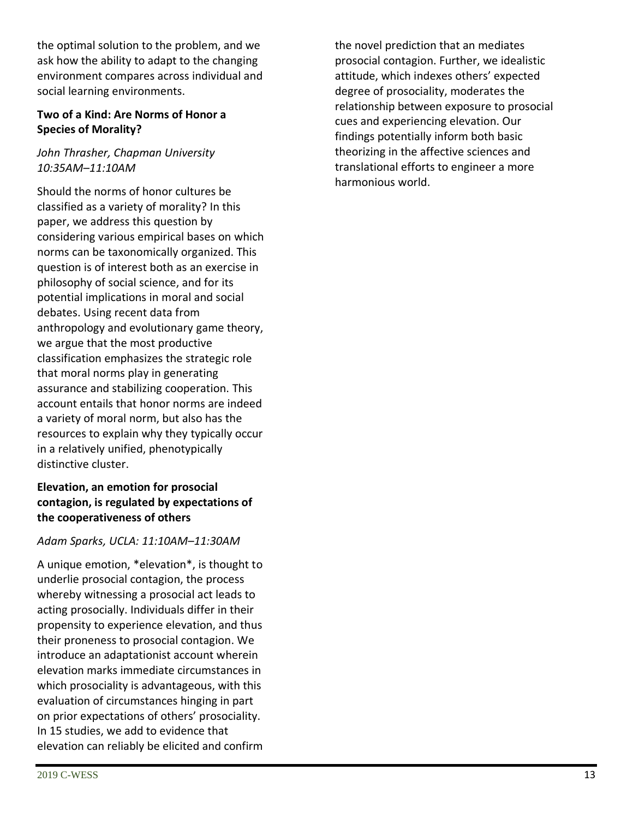the optimal solution to the problem, and we ask how the ability to adapt to the changing environment compares across individual and social learning environments.

#### **Two of a Kind: Are Norms of Honor a Species of Morality?**

#### *John Thrasher, Chapman University 10:35AM–11:10AM*

Should the norms of honor cultures be classified as a variety of morality? In this paper, we address this question by considering various empirical bases on which norms can be taxonomically organized. This question is of interest both as an exercise in philosophy of social science, and for its potential implications in moral and social debates. Using recent data from anthropology and evolutionary game theory, we argue that the most productive classification emphasizes the strategic role that moral norms play in generating assurance and stabilizing cooperation. This account entails that honor norms are indeed a variety of moral norm, but also has the resources to explain why they typically occur in a relatively unified, phenotypically distinctive cluster.

#### **Elevation, an emotion for prosocial contagion, is regulated by expectations of the cooperativeness of others**

#### *Adam Sparks, UCLA: 11:10AM–11:30AM*

A unique emotion, \*elevation\*, is thought to underlie prosocial contagion, the process whereby witnessing a prosocial act leads to acting prosocially. Individuals differ in their propensity to experience elevation, and thus their proneness to prosocial contagion. We introduce an adaptationist account wherein elevation marks immediate circumstances in which prosociality is advantageous, with this evaluation of circumstances hinging in part on prior expectations of others' prosociality. In 15 studies, we add to evidence that elevation can reliably be elicited and confirm the novel prediction that an mediates prosocial contagion. Further, we idealistic attitude, which indexes others' expected degree of prosociality, moderates the relationship between exposure to prosocial cues and experiencing elevation. Our findings potentially inform both basic theorizing in the affective sciences and translational efforts to engineer a more harmonious world.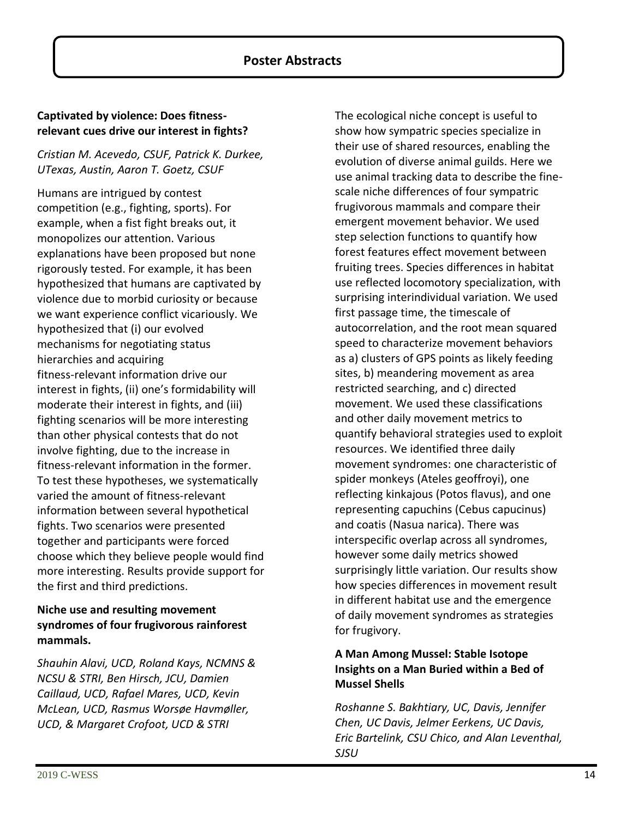#### **Captivated by violence: Does fitnessrelevant cues drive our interest in fights?**

#### *Cristian M. Acevedo, CSUF, Patrick K. Durkee, UTexas, Austin, Aaron T. Goetz, CSUF*

Humans are intrigued by contest competition (e.g., fighting, sports). For example, when a fist fight breaks out, it monopolizes our attention. Various explanations have been proposed but none rigorously tested. For example, it has been hypothesized that humans are captivated by violence due to morbid curiosity or because we want experience conflict vicariously. We hypothesized that (i) our evolved mechanisms for negotiating status hierarchies and acquiring fitness-relevant information drive our interest in fights, (ii) one's formidability will moderate their interest in fights, and (iii) fighting scenarios will be more interesting than other physical contests that do not involve fighting, due to the increase in fitness-relevant information in the former. To test these hypotheses, we systematically varied the amount of fitness-relevant information between several hypothetical fights. Two scenarios were presented together and participants were forced choose which they believe people would find more interesting. Results provide support for the first and third predictions.

#### **Niche use and resulting movement syndromes of four frugivorous rainforest mammals.**

*Shauhin Alavi, UCD, Roland Kays, NCMNS & NCSU & STRI, Ben Hirsch, JCU, Damien Caillaud, UCD, Rafael Mares, UCD, Kevin McLean, UCD, Rasmus Worsøe Havmøller, UCD, & Margaret Crofoot, UCD & STRI*

The ecological niche concept is useful to show how sympatric species specialize in their use of shared resources, enabling the evolution of diverse animal guilds. Here we use animal tracking data to describe the finescale niche differences of four sympatric frugivorous mammals and compare their emergent movement behavior. We used step selection functions to quantify how forest features effect movement between fruiting trees. Species differences in habitat use reflected locomotory specialization, with surprising interindividual variation. We used first passage time, the timescale of autocorrelation, and the root mean squared speed to characterize movement behaviors as a) clusters of GPS points as likely feeding sites, b) meandering movement as area restricted searching, and c) directed movement. We used these classifications and other daily movement metrics to quantify behavioral strategies used to exploit resources. We identified three daily movement syndromes: one characteristic of spider monkeys (Ateles geoffroyi), one reflecting kinkajous (Potos flavus), and one representing capuchins (Cebus capucinus) and coatis (Nasua narica). There was interspecific overlap across all syndromes, however some daily metrics showed surprisingly little variation. Our results show how species differences in movement result in different habitat use and the emergence of daily movement syndromes as strategies for frugivory.

#### **A Man Among Mussel: Stable Isotope Insights on a Man Buried within a Bed of Mussel Shells**

*Roshanne S. Bakhtiary, UC, Davis, Jennifer Chen, UC Davis, Jelmer Eerkens, UC Davis, Eric Bartelink, CSU Chico, and Alan Leventhal, SJSU*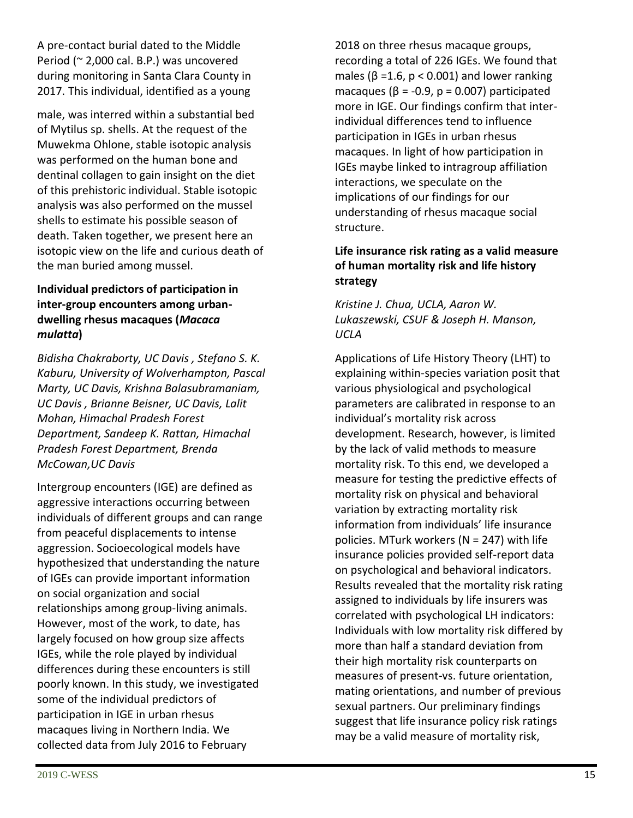A pre-contact burial dated to the Middle Period (~ 2,000 cal. B.P.) was uncovered during monitoring in Santa Clara County in 2017. This individual, identified as a young

male, was interred within a substantial bed of Mytilus sp. shells. At the request of the Muwekma Ohlone, stable isotopic analysis was performed on the human bone and dentinal collagen to gain insight on the diet of this prehistoric individual. Stable isotopic analysis was also performed on the mussel shells to estimate his possible season of death. Taken together, we present here an isotopic view on the life and curious death of the man buried among mussel.

#### **Individual predictors of participation in inter-group encounters among urbandwelling rhesus macaques (***Macaca mulatta***)**

*Bidisha Chakraborty, UC Davis , Stefano S. K. Kaburu, University of Wolverhampton, Pascal Marty, UC Davis, Krishna Balasubramaniam, UC Davis , Brianne Beisner, UC Davis, Lalit Mohan, Himachal Pradesh Forest Department, Sandeep K. Rattan, Himachal Pradesh Forest Department, Brenda McCowan,UC Davis*

Intergroup encounters (IGE) are defined as aggressive interactions occurring between individuals of different groups and can range from peaceful displacements to intense aggression. Socioecological models have hypothesized that understanding the nature of IGEs can provide important information on social organization and social relationships among group-living animals. However, most of the work, to date, has largely focused on how group size affects IGEs, while the role played by individual differences during these encounters is still poorly known. In this study, we investigated some of the individual predictors of participation in IGE in urban rhesus macaques living in Northern India. We collected data from July 2016 to February

2018 on three rhesus macaque groups, recording a total of 226 IGEs. We found that males ( $\beta$  =1.6,  $p < 0.001$ ) and lower ranking macaques ( $\beta$  = -0.9,  $p$  = 0.007) participated more in IGE. Our findings confirm that interindividual differences tend to influence participation in IGEs in urban rhesus macaques. In light of how participation in IGEs maybe linked to intragroup affiliation interactions, we speculate on the implications of our findings for our understanding of rhesus macaque social structure.

#### **Life insurance risk rating as a valid measure of human mortality risk and life history strategy**

#### *Kristine J. Chua, UCLA, Aaron W. Lukaszewski, CSUF & Joseph H. Manson, UCLA*

Applications of Life History Theory (LHT) to explaining within-species variation posit that various physiological and psychological parameters are calibrated in response to an individual's mortality risk across development. Research, however, is limited by the lack of valid methods to measure mortality risk. To this end, we developed a measure for testing the predictive effects of mortality risk on physical and behavioral variation by extracting mortality risk information from individuals' life insurance policies. MTurk workers (N = 247) with life insurance policies provided self-report data on psychological and behavioral indicators. Results revealed that the mortality risk rating assigned to individuals by life insurers was correlated with psychological LH indicators: Individuals with low mortality risk differed by more than half a standard deviation from their high mortality risk counterparts on measures of present-vs. future orientation, mating orientations, and number of previous sexual partners. Our preliminary findings suggest that life insurance policy risk ratings may be a valid measure of mortality risk,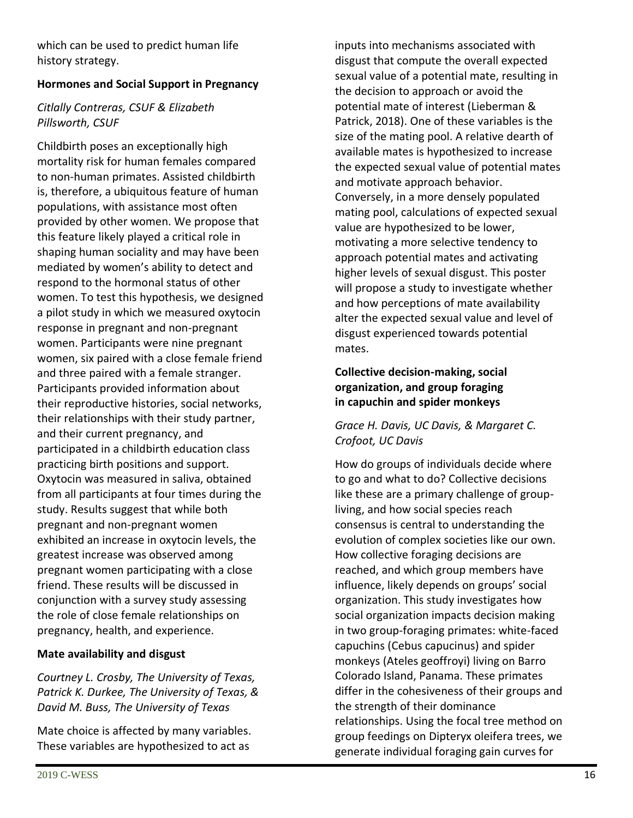which can be used to predict human life history strategy.

#### **Hormones and Social Support in Pregnancy**

#### *Citlally Contreras, CSUF & Elizabeth Pillsworth, CSUF*

Childbirth poses an exceptionally high mortality risk for human females compared to non-human primates. Assisted childbirth is, therefore, a ubiquitous feature of human populations, with assistance most often provided by other women. We propose that this feature likely played a critical role in shaping human sociality and may have been mediated by women's ability to detect and respond to the hormonal status of other women. To test this hypothesis, we designed a pilot study in which we measured oxytocin response in pregnant and non-pregnant women. Participants were nine pregnant women, six paired with a close female friend and three paired with a female stranger. Participants provided information about their reproductive histories, social networks, their relationships with their study partner, and their current pregnancy, and participated in a childbirth education class practicing birth positions and support. Oxytocin was measured in saliva, obtained from all participants at four times during the study. Results suggest that while both pregnant and non-pregnant women exhibited an increase in oxytocin levels, the greatest increase was observed among pregnant women participating with a close friend. These results will be discussed in conjunction with a survey study assessing the role of close female relationships on pregnancy, health, and experience.

#### **Mate availability and disgust**

*Courtney L. Crosby, The University of Texas, Patrick K. Durkee, The University of Texas, & David M. Buss, The University of Texas*

Mate choice is affected by many variables. These variables are hypothesized to act as

inputs into mechanisms associated with disgust that compute the overall expected sexual value of a potential mate, resulting in the decision to approach or avoid the potential mate of interest (Lieberman & Patrick, 2018). One of these variables is the size of the mating pool. A relative dearth of available mates is hypothesized to increase the expected sexual value of potential mates and motivate approach behavior. Conversely, in a more densely populated mating pool, calculations of expected sexual value are hypothesized to be lower, motivating a more selective tendency to approach potential mates and activating higher levels of sexual disgust. This poster will propose a study to investigate whether and how perceptions of mate availability alter the expected sexual value and level of disgust experienced towards potential mates.

#### **Collective decision-making, social organization, and group foraging in capuchin and spider monkeys**

#### *Grace H. Davis, UC Davis, & Margaret C. Crofoot, UC Davis*

How do groups of individuals decide where to go and what to do? Collective decisions like these are a primary challenge of groupliving, and how social species reach consensus is central to understanding the evolution of complex societies like our own. How collective foraging decisions are reached, and which group members have influence, likely depends on groups' social organization. This study investigates how social organization impacts decision making in two group-foraging primates: white-faced capuchins (Cebus capucinus) and spider monkeys (Ateles geoffroyi) living on Barro Colorado Island, Panama. These primates differ in the cohesiveness of their groups and the strength of their dominance relationships. Using the focal tree method on group feedings on Dipteryx oleifera trees, we generate individual foraging gain curves for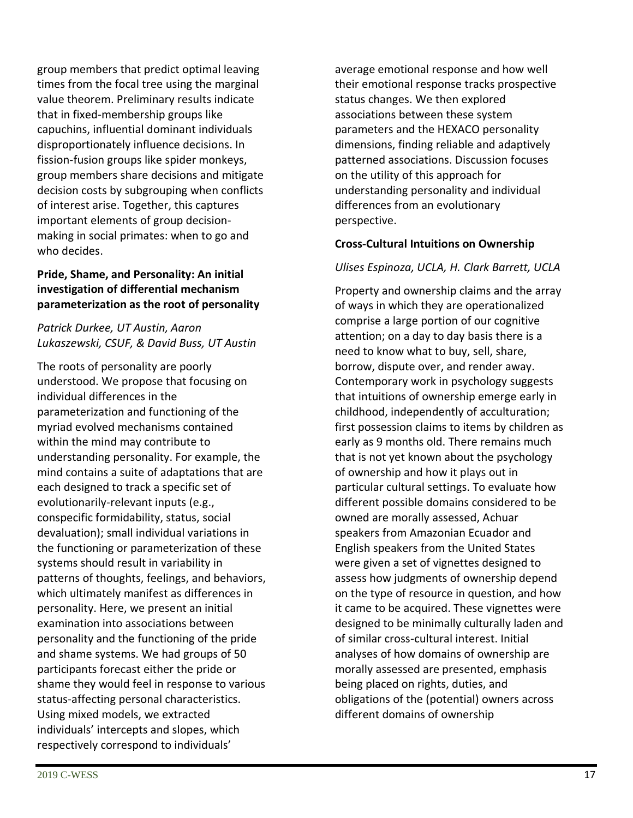group members that predict optimal leaving times from the focal tree using the marginal value theorem. Preliminary results indicate that in fixed-membership groups like capuchins, influential dominant individuals disproportionately influence decisions. In fission-fusion groups like spider monkeys, group members share decisions and mitigate decision costs by subgrouping when conflicts of interest arise. Together, this captures important elements of group decisionmaking in social primates: when to go and who decides.

#### **Pride, Shame, and Personality: An initial investigation of differential mechanism parameterization as the root of personality**

#### *Patrick Durkee, UT Austin, Aaron Lukaszewski, CSUF, & David Buss, UT Austin*

The roots of personality are poorly understood. We propose that focusing on individual differences in the parameterization and functioning of the myriad evolved mechanisms contained within the mind may contribute to understanding personality. For example, the mind contains a suite of adaptations that are each designed to track a specific set of evolutionarily-relevant inputs (e.g., conspecific formidability, status, social devaluation); small individual variations in the functioning or parameterization of these systems should result in variability in patterns of thoughts, feelings, and behaviors, which ultimately manifest as differences in personality. Here, we present an initial examination into associations between personality and the functioning of the pride and shame systems. We had groups of 50 participants forecast either the pride or shame they would feel in response to various status-affecting personal characteristics. Using mixed models, we extracted individuals' intercepts and slopes, which respectively correspond to individuals'

average emotional response and how well their emotional response tracks prospective status changes. We then explored associations between these system parameters and the HEXACO personality dimensions, finding reliable and adaptively patterned associations. Discussion focuses on the utility of this approach for understanding personality and individual differences from an evolutionary perspective.

#### **Cross-Cultural Intuitions on Ownership**

#### *Ulises Espinoza, UCLA, H. Clark Barrett, UCLA*

Property and ownership claims and the array of ways in which they are operationalized comprise a large portion of our cognitive attention; on a day to day basis there is a need to know what to buy, sell, share, borrow, dispute over, and render away. Contemporary work in psychology suggests that intuitions of ownership emerge early in childhood, independently of acculturation; first possession claims to items by children as early as 9 months old. There remains much that is not yet known about the psychology of ownership and how it plays out in particular cultural settings. To evaluate how different possible domains considered to be owned are morally assessed, Achuar speakers from Amazonian Ecuador and English speakers from the United States were given a set of vignettes designed to assess how judgments of ownership depend on the type of resource in question, and how it came to be acquired. These vignettes were designed to be minimally culturally laden and of similar cross-cultural interest. Initial analyses of how domains of ownership are morally assessed are presented, emphasis being placed on rights, duties, and obligations of the (potential) owners across different domains of ownership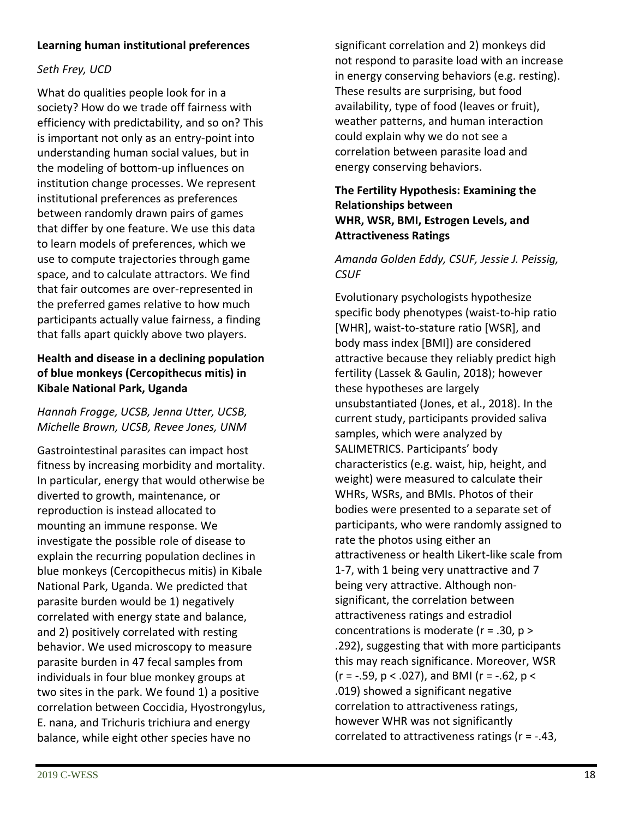#### **Learning human institutional preferences**

#### *Seth Frey, UCD*

What do qualities people look for in a society? How do we trade off fairness with efficiency with predictability, and so on? This is important not only as an entry-point into understanding human social values, but in the modeling of bottom-up influences on institution change processes. We represent institutional preferences as preferences between randomly drawn pairs of games that differ by one feature. We use this data to learn models of preferences, which we use to compute trajectories through game space, and to calculate attractors. We find that fair outcomes are over-represented in the preferred games relative to how much participants actually value fairness, a finding that falls apart quickly above two players.

#### **Health and disease in a declining population of blue monkeys (Cercopithecus mitis) in Kibale National Park, Uganda**

*Hannah Frogge, UCSB, Jenna Utter, UCSB, Michelle Brown, UCSB, Revee Jones, UNM*

Gastrointestinal parasites can impact host fitness by increasing morbidity and mortality. In particular, energy that would otherwise be diverted to growth, maintenance, or reproduction is instead allocated to mounting an immune response. We investigate the possible role of disease to explain the recurring population declines in blue monkeys (Cercopithecus mitis) in Kibale National Park, Uganda. We predicted that parasite burden would be 1) negatively correlated with energy state and balance, and 2) positively correlated with resting behavior. We used microscopy to measure parasite burden in 47 fecal samples from individuals in four blue monkey groups at two sites in the park. We found 1) a positive correlation between Coccidia, Hyostrongylus, E. nana, and Trichuris trichiura and energy balance, while eight other species have no

significant correlation and 2) monkeys did not respond to parasite load with an increase in energy conserving behaviors (e.g. resting). These results are surprising, but food availability, type of food (leaves or fruit), weather patterns, and human interaction could explain why we do not see a correlation between parasite load and energy conserving behaviors.

#### **The Fertility Hypothesis: Examining the Relationships between WHR, WSR, BMI, Estrogen Levels, and Attractiveness Ratings**

#### *Amanda Golden Eddy, CSUF, Jessie J. Peissig, CSUF*

Evolutionary psychologists hypothesize specific body phenotypes (waist-to-hip ratio [WHR], waist-to-stature ratio [WSR], and body mass index [BMI]) are considered attractive because they reliably predict high fertility (Lassek & Gaulin, 2018); however these hypotheses are largely unsubstantiated (Jones, et al., 2018). In the current study, participants provided saliva samples, which were analyzed by SALIMETRICS. Participants' body characteristics (e.g. waist, hip, height, and weight) were measured to calculate their WHRs, WSRs, and BMIs. Photos of their bodies were presented to a separate set of participants, who were randomly assigned to rate the photos using either an attractiveness or health Likert-like scale from 1-7, with 1 being very unattractive and 7 being very attractive. Although nonsignificant, the correlation between attractiveness ratings and estradiol concentrations is moderate (r = .30, p > .292), suggesting that with more participants this may reach significance. Moreover, WSR  $(r = -.59, p < .027)$ , and BMI ( $r = -.62, p <$ .019) showed a significant negative correlation to attractiveness ratings, however WHR was not significantly correlated to attractiveness ratings (r = -.43,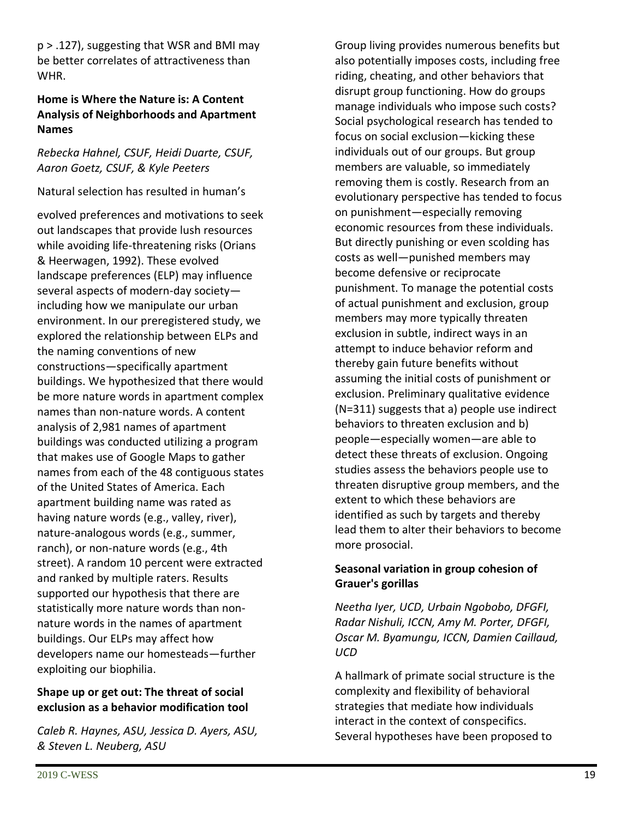p > .127), suggesting that WSR and BMI may be better correlates of attractiveness than WHR.

#### **Home is Where the Nature is: A Content Analysis of Neighborhoods and Apartment Names**

#### *Rebecka Hahnel, CSUF, Heidi Duarte, CSUF, Aaron Goetz, CSUF, & Kyle Peeters*

#### Natural selection has resulted in human's

evolved preferences and motivations to seek out landscapes that provide lush resources while avoiding life-threatening risks (Orians & Heerwagen, 1992). These evolved landscape preferences (ELP) may influence several aspects of modern-day society including how we manipulate our urban environment. In our preregistered study, we explored the relationship between ELPs and the naming conventions of new constructions—specifically apartment buildings. We hypothesized that there would be more nature words in apartment complex names than non-nature words. A content analysis of 2,981 names of apartment buildings was conducted utilizing a program that makes use of Google Maps to gather names from each of the 48 contiguous states of the United States of America. Each apartment building name was rated as having nature words (e.g., valley, river), nature-analogous words (e.g., summer, ranch), or non-nature words (e.g., 4th street). A random 10 percent were extracted and ranked by multiple raters. Results supported our hypothesis that there are statistically more nature words than nonnature words in the names of apartment buildings. Our ELPs may affect how developers name our homesteads—further exploiting our biophilia.

#### **Shape up or get out: The threat of social exclusion as a behavior modification tool**

*Caleb R. Haynes, ASU, Jessica D. Ayers, ASU, & Steven L. Neuberg, ASU*

Group living provides numerous benefits but also potentially imposes costs, including free riding, cheating, and other behaviors that disrupt group functioning. How do groups manage individuals who impose such costs? Social psychological research has tended to focus on social exclusion—kicking these individuals out of our groups. But group members are valuable, so immediately removing them is costly. Research from an evolutionary perspective has tended to focus on punishment—especially removing economic resources from these individuals. But directly punishing or even scolding has costs as well—punished members may become defensive or reciprocate punishment. To manage the potential costs of actual punishment and exclusion, group members may more typically threaten exclusion in subtle, indirect ways in an attempt to induce behavior reform and thereby gain future benefits without assuming the initial costs of punishment or exclusion. Preliminary qualitative evidence (N=311) suggests that a) people use indirect behaviors to threaten exclusion and b) people—especially women—are able to detect these threats of exclusion. Ongoing studies assess the behaviors people use to threaten disruptive group members, and the extent to which these behaviors are identified as such by targets and thereby lead them to alter their behaviors to become more prosocial.

#### **Seasonal variation in group cohesion of Grauer's gorillas**

*Neetha Iyer, UCD, Urbain Ngobobo, DFGFI, Radar Nishuli, ICCN, Amy M. Porter, DFGFI, Oscar M. Byamungu, ICCN, Damien Caillaud, UCD*

A hallmark of primate social structure is the complexity and flexibility of behavioral strategies that mediate how individuals interact in the context of conspecifics. Several hypotheses have been proposed to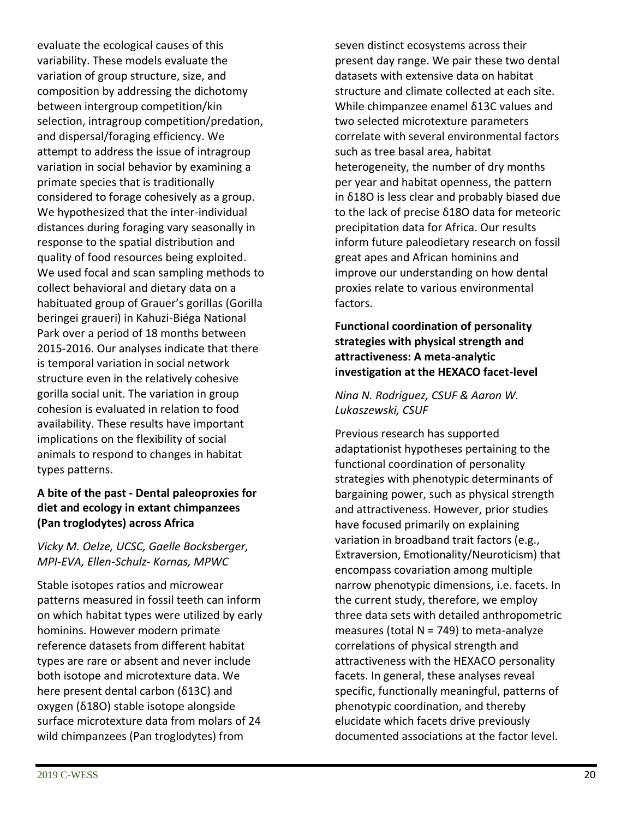evaluate the ecological causes of this variability. These models evaluate the variation of group structure, size, and composition by addressing the dichotomy between intergroup competition/kin selection, intragroup competition/predation, and dispersal/foraging efficiency. We attempt to address the issue of intragroup variation in social behavior by examining a primate species that is traditionally considered to forage cohesively as a group. We hypothesized that the inter-individual distances during foraging vary seasonally in response to the spatial distribution and quality of food resources being exploited. We used focal and scan sampling methods to collect behavioral and dietary data on a habituated group of Grauer's gorillas (Gorilla beringei graueri) in Kahuzi-Biéga National Park over a period of 18 months between 2015-2016. Our analyses indicate that there is temporal variation in social network structure even in the relatively cohesive gorilla social unit. The variation in group cohesion is evaluated in relation to food availability. These results have important implications on the flexibility of social animals to respond to changes in habitat types patterns.

#### **A bite of the past - Dental paleoproxies for diet and ecology in extant chimpanzees (Pan troglodytes) across Africa**

#### *Vicky M. Oelze, UCSC, Gaelle Bocksberger, MPI-EVA, Ellen-Schulz- Kornas, MPWC*

Stable isotopes ratios and microwear patterns measured in fossil teeth can inform on which habitat types were utilized by early hominins. However modern primate reference datasets from different habitat types are rare or absent and never include both isotope and microtexture data. We here present dental carbon (δ13C) and oxygen (δ18O) stable isotope alongside surface microtexture data from molars of 24 wild chimpanzees (Pan troglodytes) from

seven distinct ecosystems across their present day range. We pair these two dental datasets with extensive data on habitat structure and climate collected at each site. While chimpanzee enamel δ13C values and two selected microtexture parameters correlate with several environmental factors such as tree basal area, habitat heterogeneity, the number of dry months per year and habitat openness, the pattern in δ18O is less clear and probably biased due to the lack of precise δ18O data for meteoric precipitation data for Africa. Our results inform future paleodietary research on fossil great apes and African hominins and improve our understanding on how dental proxies relate to various environmental factors.

#### **Functional coordination of personality strategies with physical strength and attractiveness: A meta-analytic investigation at the HEXACO facet-level**

*Nina N. Rodriguez, CSUF & Aaron W. Lukaszewski, CSUF*

Previous research has supported adaptationist hypotheses pertaining to the functional coordination of personality strategies with phenotypic determinants of bargaining power, such as physical strength and attractiveness. However, prior studies have focused primarily on explaining variation in broadband trait factors (e.g., Extraversion, Emotionality/Neuroticism) that encompass covariation among multiple narrow phenotypic dimensions, i.e. facets. In the current study, therefore, we employ three data sets with detailed anthropometric measures (total  $N = 749$ ) to meta-analyze correlations of physical strength and attractiveness with the HEXACO personality facets. In general, these analyses reveal specific, functionally meaningful, patterns of phenotypic coordination, and thereby elucidate which facets drive previously documented associations at the factor level.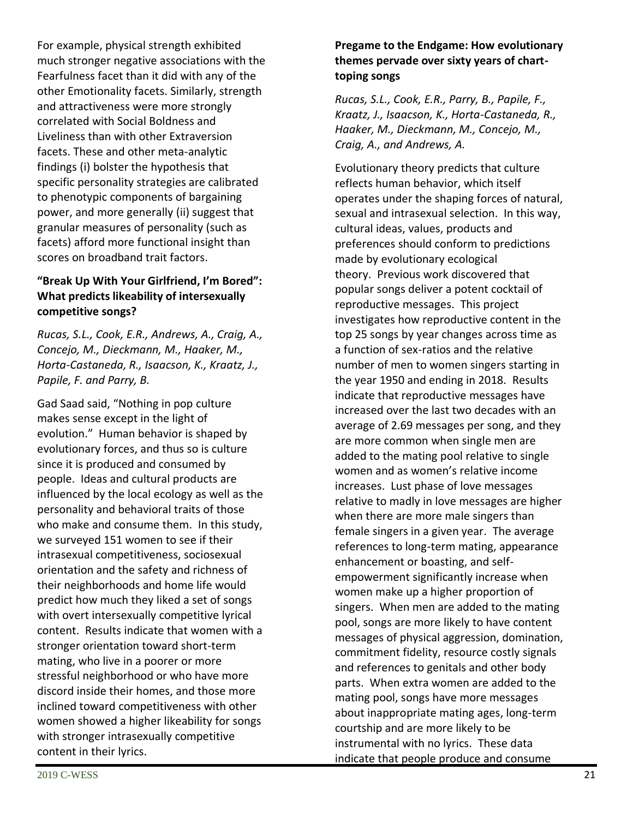For example, physical strength exhibited much stronger negative associations with the Fearfulness facet than it did with any of the other Emotionality facets. Similarly, strength and attractiveness were more strongly correlated with Social Boldness and Liveliness than with other Extraversion facets. These and other meta-analytic findings (i) bolster the hypothesis that specific personality strategies are calibrated to phenotypic components of bargaining power, and more generally (ii) suggest that granular measures of personality (such as facets) afford more functional insight than scores on broadband trait factors.

#### **"Break Up With Your Girlfriend, I'm Bored": What predicts likeability of intersexually competitive songs?**

*Rucas, S.L., Cook, E.R., Andrews, A., Craig, A., Concejo, M., Dieckmann, M., Haaker, M., Horta-Castaneda, R., Isaacson, K., Kraatz, J., Papile, F. and Parry, B.*

Gad Saad said, "Nothing in pop culture makes sense except in the light of evolution." Human behavior is shaped by evolutionary forces, and thus so is culture since it is produced and consumed by people. Ideas and cultural products are influenced by the local ecology as well as the personality and behavioral traits of those who make and consume them. In this study, we surveyed 151 women to see if their intrasexual competitiveness, sociosexual orientation and the safety and richness of their neighborhoods and home life would predict how much they liked a set of songs with overt intersexually competitive lyrical content. Results indicate that women with a stronger orientation toward short-term mating, who live in a poorer or more stressful neighborhood or who have more discord inside their homes, and those more inclined toward competitiveness with other women showed a higher likeability for songs with stronger intrasexually competitive content in their lyrics.

#### **Pregame to the Endgame: How evolutionary themes pervade over sixty years of charttoping songs**

*Rucas, S.L., Cook, E.R., Parry, B., Papile, F., Kraatz, J., Isaacson, K., Horta-Castaneda, R., Haaker, M., Dieckmann, M., Concejo, M., Craig, A., and Andrews, A.*

Evolutionary theory predicts that culture reflects human behavior, which itself operates under the shaping forces of natural, sexual and intrasexual selection. In this way, cultural ideas, values, products and preferences should conform to predictions made by evolutionary ecological theory. Previous work discovered that popular songs deliver a potent cocktail of reproductive messages. This project investigates how reproductive content in the top 25 songs by year changes across time as a function of sex-ratios and the relative number of men to women singers starting in the year 1950 and ending in 2018. Results indicate that reproductive messages have increased over the last two decades with an average of 2.69 messages per song, and they are more common when single men are added to the mating pool relative to single women and as women's relative income increases. Lust phase of love messages relative to madly in love messages are higher when there are more male singers than female singers in a given year. The average references to long-term mating, appearance enhancement or boasting, and selfempowerment significantly increase when women make up a higher proportion of singers. When men are added to the mating pool, songs are more likely to have content messages of physical aggression, domination, commitment fidelity, resource costly signals and references to genitals and other body parts. When extra women are added to the mating pool, songs have more messages about inappropriate mating ages, long-term courtship and are more likely to be instrumental with no lyrics. These data indicate that people produce and consume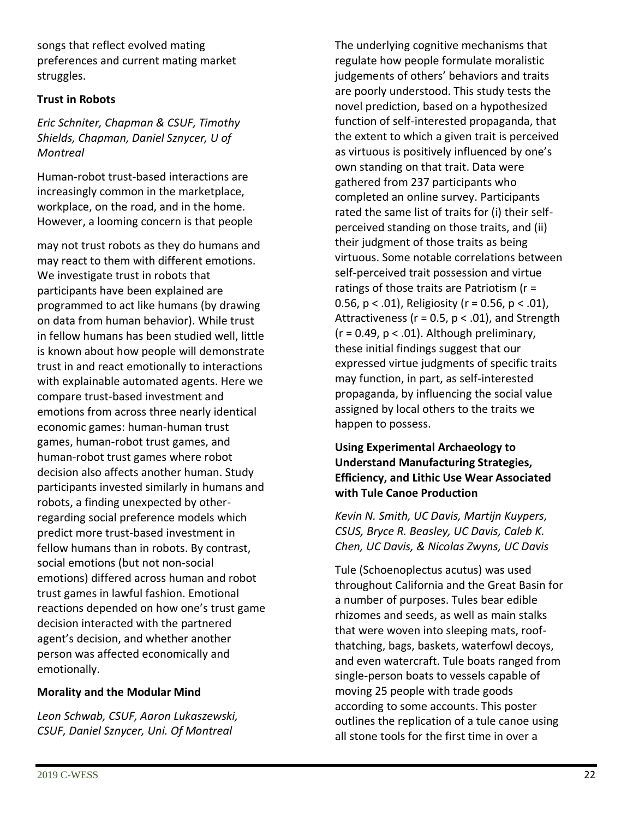songs that reflect evolved mating preferences and current mating market struggles.

#### **Trust in Robots**

*Eric Schniter, Chapman & CSUF, Timothy Shields, Chapman, Daniel Sznycer, U of Montreal*

Human-robot trust-based interactions are increasingly common in the marketplace, workplace, on the road, and in the home. However, a looming concern is that people

may not trust robots as they do humans and may react to them with different emotions. We investigate trust in robots that participants have been explained are programmed to act like humans (by drawing on data from human behavior). While trust in fellow humans has been studied well, little is known about how people will demonstrate trust in and react emotionally to interactions with explainable automated agents. Here we compare trust-based investment and emotions from across three nearly identical economic games: human-human trust games, human-robot trust games, and human-robot trust games where robot decision also affects another human. Study participants invested similarly in humans and robots, a finding unexpected by otherregarding social preference models which predict more trust-based investment in fellow humans than in robots. By contrast, social emotions (but not non-social emotions) differed across human and robot trust games in lawful fashion. Emotional reactions depended on how one's trust game decision interacted with the partnered agent's decision, and whether another person was affected economically and emotionally.

#### **Morality and the Modular Mind**

*Leon Schwab, CSUF, Aaron Lukaszewski, CSUF, Daniel Sznycer, Uni. Of Montreal* 

The underlying cognitive mechanisms that regulate how people formulate moralistic judgements of others' behaviors and traits are poorly understood. This study tests the novel prediction, based on a hypothesized function of self-interested propaganda, that the extent to which a given trait is perceived as virtuous is positively influenced by one's own standing on that trait. Data were gathered from 237 participants who completed an online survey. Participants rated the same list of traits for (i) their selfperceived standing on those traits, and (ii) their judgment of those traits as being virtuous. Some notable correlations between self-perceived trait possession and virtue ratings of those traits are Patriotism (r = 0.56,  $p < .01$ ), Religiosity ( $r = 0.56$ ,  $p < .01$ ), Attractiveness ( $r = 0.5$ ,  $p < .01$ ), and Strength  $(r = 0.49, p < .01)$ . Although preliminary, these initial findings suggest that our expressed virtue judgments of specific traits may function, in part, as self-interested propaganda, by influencing the social value assigned by local others to the traits we happen to possess.

#### **Using Experimental Archaeology to Understand Manufacturing Strategies, Efficiency, and Lithic Use Wear Associated with Tule Canoe Production**

*Kevin N. Smith, UC Davis, Martijn Kuypers, CSUS, Bryce R. Beasley, UC Davis, Caleb K. Chen, UC Davis, & Nicolas Zwyns, UC Davis*

Tule (Schoenoplectus acutus) was used throughout California and the Great Basin for a number of purposes. Tules bear edible rhizomes and seeds, as well as main stalks that were woven into sleeping mats, roofthatching, bags, baskets, waterfowl decoys, and even watercraft. Tule boats ranged from single-person boats to vessels capable of moving 25 people with trade goods according to some accounts. This poster outlines the replication of a tule canoe using all stone tools for the first time in over a